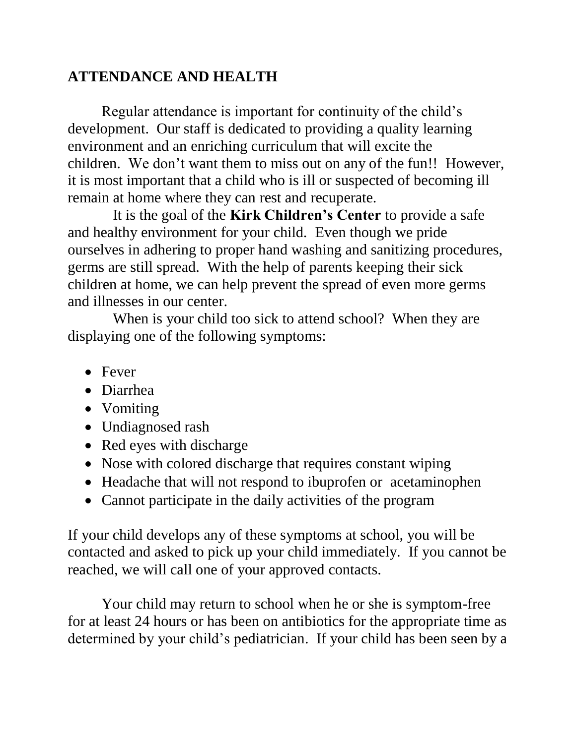## **ATTENDANCE AND HEALTH**

Regular attendance is important for continuity of the child's development. Our staff is dedicated to providing a quality learning environment and an enriching curriculum that will excite the children. We don't want them to miss out on any of the fun!! However, it is most important that a child who is ill or suspected of becoming ill remain at home where they can rest and recuperate.

 It is the goal of the **Kirk Children's Center** to provide a safe and healthy environment for your child. Even though we pride ourselves in adhering to proper hand washing and sanitizing procedures, germs are still spread. With the help of parents keeping their sick children at home, we can help prevent the spread of even more germs and illnesses in our center.

 When is your child too sick to attend school? When they are displaying one of the following symptoms:

- Fever
- Diarrhea
- Vomiting
- Undiagnosed rash
- Red eyes with discharge
- Nose with colored discharge that requires constant wiping
- Headache that will not respond to ibuprofen or acetaminophen
- Cannot participate in the daily activities of the program

If your child develops any of these symptoms at school, you will be contacted and asked to pick up your child immediately. If you cannot be reached, we will call one of your approved contacts.

Your child may return to school when he or she is symptom-free for at least 24 hours or has been on antibiotics for the appropriate time as determined by your child's pediatrician. If your child has been seen by a